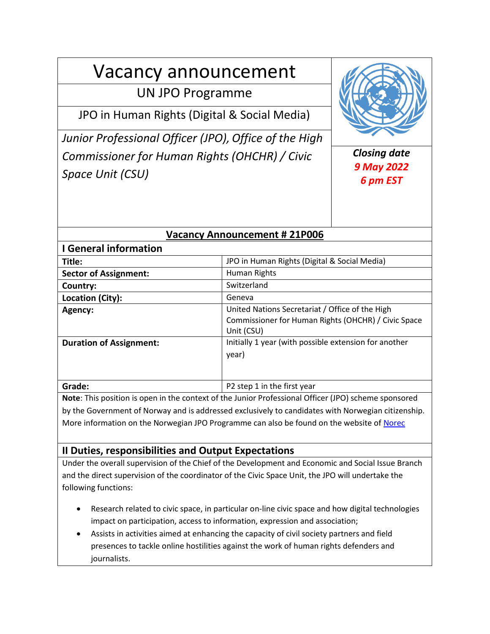# Vacancy announcement

## UN JPO Programme

JPO in Human Rights (Digital & Social Media)

*Junior Professional Officer (JPO), Office of the High Commissioner for Human Rights (OHCHR) / Civic Space Unit (CSU)*



## *Closing date 9 May 2022 6 pm EST*

## **Vacancy Announcement # 21P006**

| <b>I</b> General information   |                                                                                                                      |
|--------------------------------|----------------------------------------------------------------------------------------------------------------------|
| Title:                         | JPO in Human Rights (Digital & Social Media)                                                                         |
| <b>Sector of Assignment:</b>   | Human Rights                                                                                                         |
| Country:                       | Switzerland                                                                                                          |
| Location (City):               | Geneva                                                                                                               |
| Agency:                        | United Nations Secretariat / Office of the High<br>Commissioner for Human Rights (OHCHR) / Civic Space<br>Unit (CSU) |
| <b>Duration of Assignment:</b> | Initially 1 year (with possible extension for another<br>year)                                                       |
| Grade:                         | P2 step 1 in the first year                                                                                          |

**Note**: This position is open in the context of the Junior Professional Officer (JPO) scheme sponsored by the Government of Norway and is addressed exclusively to candidates with Norwegian citizenship. More information on the Norwegian JPO Programme can also be found on the website of [Norec](https://www.norec.no/nb/internasjonal-karriere/juniorekspert-unv/)

## **II Duties, responsibilities and Output Expectations**

Under the overall supervision of the Chief of the Development and Economic and Social Issue Branch and the direct supervision of the coordinator of the Civic Space Unit, the JPO will undertake the following functions:

- Research related to civic space, in particular on-line civic space and how digital technologies impact on participation, access to information, expression and association;
- Assists in activities aimed at enhancing the capacity of civil society partners and field presences to tackle online hostilities against the work of human rights defenders and journalists.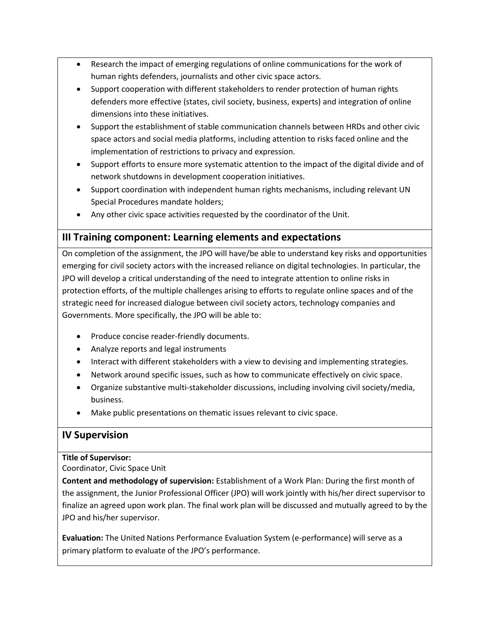- Research the impact of emerging regulations of online communications for the work of human rights defenders, journalists and other civic space actors.
- Support cooperation with different stakeholders to render protection of human rights defenders more effective (states, civil society, business, experts) and integration of online dimensions into these initiatives.
- Support the establishment of stable communication channels between HRDs and other civic space actors and social media platforms, including attention to risks faced online and the implementation of restrictions to privacy and expression.
- Support efforts to ensure more systematic attention to the impact of the digital divide and of network shutdowns in development cooperation initiatives.
- Support coordination with independent human rights mechanisms, including relevant UN Special Procedures mandate holders;
- Any other civic space activities requested by the coordinator of the Unit.

## **III Training component: Learning elements and expectations**

On completion of the assignment, the JPO will have/be able to understand key risks and opportunities emerging for civil society actors with the increased reliance on digital technologies. In particular, the JPO will develop a critical understanding of the need to integrate attention to online risks in protection efforts, of the multiple challenges arising to efforts to regulate online spaces and of the strategic need for increased dialogue between civil society actors, technology companies and Governments. More specifically, the JPO will be able to:

- Produce concise reader-friendly documents.
- Analyze reports and legal instruments
- Interact with different stakeholders with a view to devising and implementing strategies.
- Network around specific issues, such as how to communicate effectively on civic space.
- Organize substantive multi-stakeholder discussions, including involving civil society/media, business.
- Make public presentations on thematic issues relevant to civic space.

## **IV Supervision**

#### **Title of Supervisor:**

Coordinator, Civic Space Unit

**Content and methodology of supervision:** Establishment of a Work Plan: During the first month of the assignment, the Junior Professional Officer (JPO) will work jointly with his/her direct supervisor to finalize an agreed upon work plan. The final work plan will be discussed and mutually agreed to by the JPO and his/her supervisor.

**Evaluation:** The United Nations Performance Evaluation System (e-performance) will serve as a primary platform to evaluate of the JPO's performance.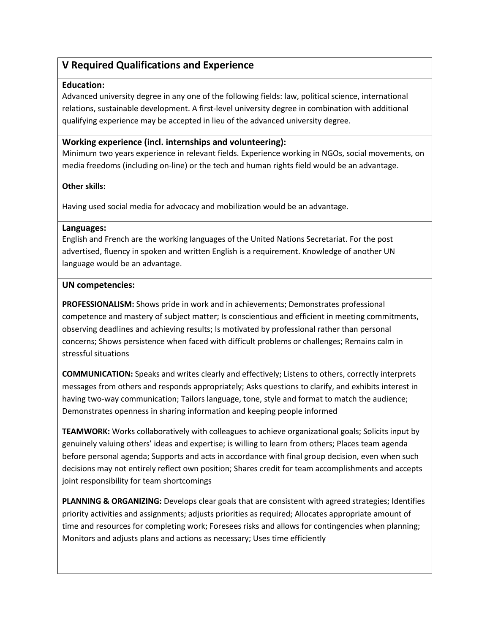## **V Required Qualifications and Experience**

#### **Education:**

Advanced university degree in any one of the following fields: law, political science, international relations, sustainable development. A first-level university degree in combination with additional qualifying experience may be accepted in lieu of the advanced university degree.

#### **Working experience (incl. internships and volunteering):**

Minimum two years experience in relevant fields. Experience working in NGOs, social movements, on media freedoms (including on-line) or the tech and human rights field would be an advantage.

#### **Other skills:**

Having used social media for advocacy and mobilization would be an advantage.

#### **Languages:**

English and French are the working languages of the United Nations Secretariat. For the post advertised, fluency in spoken and written English is a requirement. Knowledge of another UN language would be an advantage.

#### **UN competencies:**

**PROFESSIONALISM:** Shows pride in work and in achievements; Demonstrates professional competence and mastery of subject matter; Is conscientious and efficient in meeting commitments, observing deadlines and achieving results; Is motivated by professional rather than personal concerns; Shows persistence when faced with difficult problems or challenges; Remains calm in stressful situations

**COMMUNICATION:** Speaks and writes clearly and effectively; Listens to others, correctly interprets messages from others and responds appropriately; Asks questions to clarify, and exhibits interest in having two-way communication; Tailors language, tone, style and format to match the audience; Demonstrates openness in sharing information and keeping people informed

**TEAMWORK:** Works collaboratively with colleagues to achieve organizational goals; Solicits input by genuinely valuing others' ideas and expertise; is willing to learn from others; Places team agenda before personal agenda; Supports and acts in accordance with final group decision, even when such decisions may not entirely reflect own position; Shares credit for team accomplishments and accepts joint responsibility for team shortcomings

**PLANNING & ORGANIZING:** Develops clear goals that are consistent with agreed strategies; Identifies priority activities and assignments; adjusts priorities as required; Allocates appropriate amount of time and resources for completing work; Foresees risks and allows for contingencies when planning; Monitors and adjusts plans and actions as necessary; Uses time efficiently